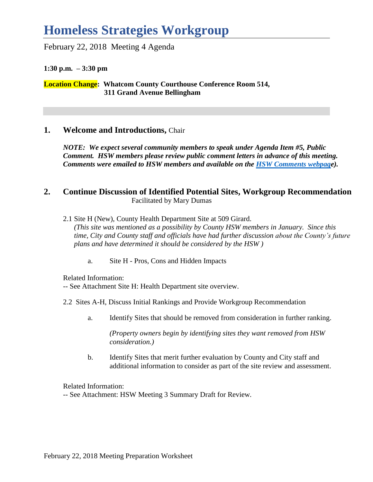# **Homeless Strategies Workgroup**

### February 22, 2018 Meeting 4 Agenda

#### **1:30 p.m. – 3:30 pm**

**Location Change: Whatcom County Courthouse Conference Room 514, 311 Grand Avenue Bellingham**

## **1. Welcome and Introductions,** Chair

*NOTE: We expect several community members to speak under Agenda Item #5, Public Comment. HSW members please review public comment letters in advance of this meeting. Comments were emailed to HSW members and available on the [HSW Comments webpage](http://www.co.whatcom.wa.us/2792/Comments)).*

### **2. Continue Discussion of Identified Potential Sites, Workgroup Recommendation** Facilitated by Mary Dumas

- 2.1 Site H (New), County Health Department Site at 509 Girard. *(This site was mentioned as a possibility by County HSW members in January. Since this time, City and County staff and officials have had further discussion about the County's future plans and have determined it should be considered by the HSW )*
	- a. Site H Pros, Cons and Hidden Impacts

Related Information:

- -- See Attachment Site H: Health Department site overview.
- 2.2 Sites A-H, Discuss Initial Rankings and Provide Workgroup Recommendation
	- a. Identify Sites that should be removed from consideration in further ranking.

*(Property owners begin by identifying sites they want removed from HSW consideration.)*

b. Identify Sites that merit further evaluation by County and City staff and additional information to consider as part of the site review and assessment.

Related Information:

-- See Attachment: HSW Meeting 3 Summary Draft for Review*.*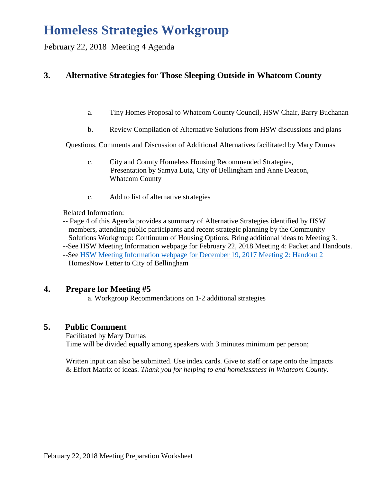# **Homeless Strategies Workgroup**

February 22, 2018 Meeting 4 Agenda

# **3. Alternative Strategies for Those Sleeping Outside in Whatcom County**

- a. Tiny Homes Proposal to Whatcom County Council, HSW Chair, Barry Buchanan
- b. Review Compilation of Alternative Solutions from HSW discussions and plans

Questions, Comments and Discussion of Additional Alternatives facilitated by Mary Dumas

- c. City and County Homeless Housing Recommended Strategies, Presentation by Samya Lutz, City of Bellingham and Anne Deacon, Whatcom County
- c. Add to list of alternative strategies

Related Information:

- -- Page 4 of this Agenda provides a summary of Alternative Strategies identified by HSW members, attending public participants and recent strategic planning by the Community Solutions Workgroup: Continuum of Housing Options. Bring additional ideas to Meeting 3.
- --See HSW Meeting Information webpage for February 22, 2018 Meeting 4: Packet and Handouts. --See [HSW Meeting Information webpage for December 19, 2017 Meeting 2: Handout 2](http://www.co.whatcom.wa.us/2748/Homeless-Strategies-Workgroup-Meeting-In) HomesNow Letter to City of Bellingham

## **4. Prepare for Meeting #5**

a. Workgroup Recommendations on 1-2 additional strategies

## **5. Public Comment**

Facilitated by Mary Dumas Time will be divided equally among speakers with 3 minutes minimum per person;

Written input can also be submitted. Use index cards. Give to staff or tape onto the Impacts & Effort Matrix of ideas. *Thank you for helping to end homelessness in Whatcom County*.